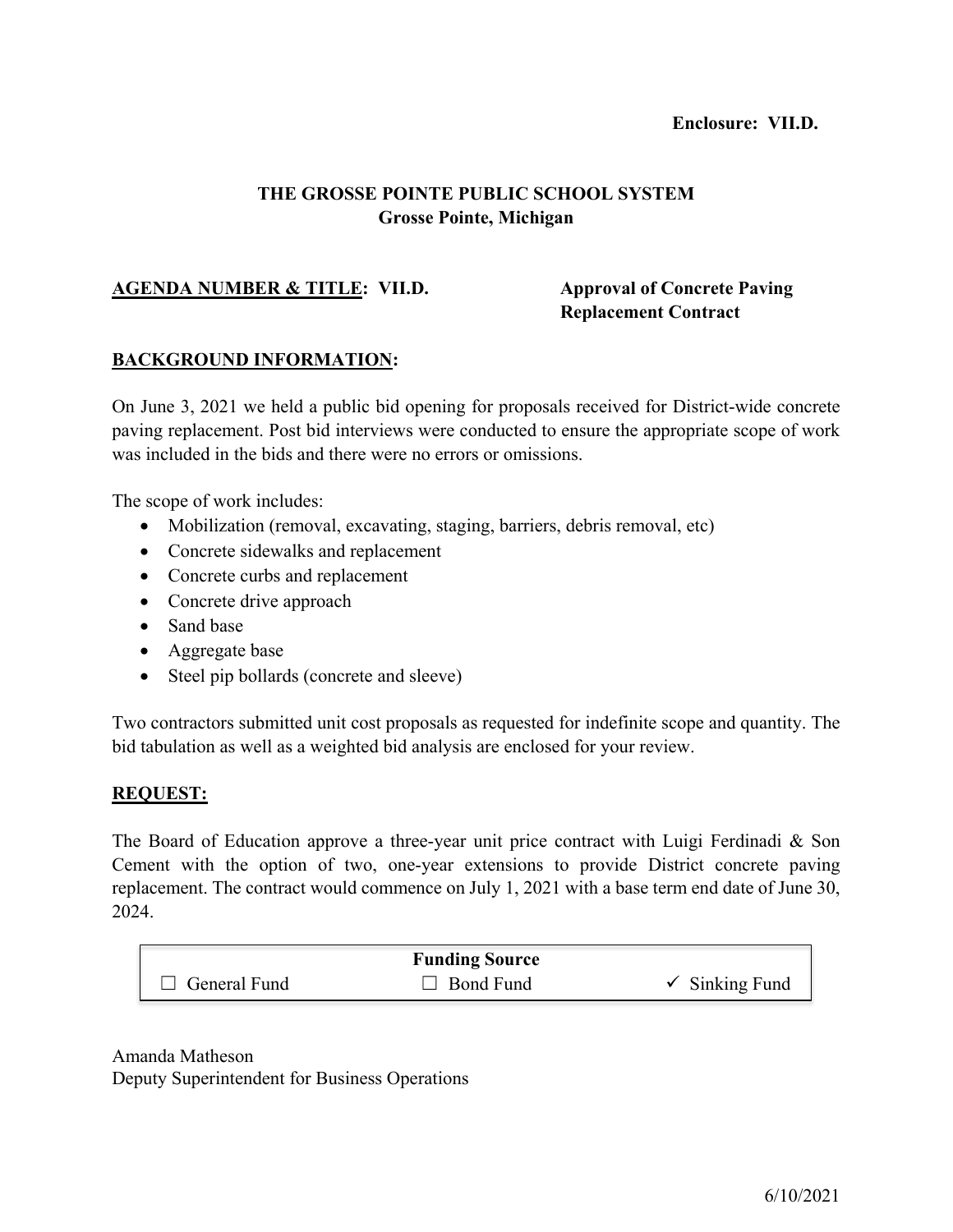### **Enclosure: VII.D.**

## **THE GROSSE POINTE PUBLIC SCHOOL SYSTEM Grosse Pointe, Michigan**

## **AGENDA NUMBER & TITLE: VII.D. Approval of Concrete Paving**

# **Replacement Contract**

### **BACKGROUND INFORMATION:**

On June 3, 2021 we held a public bid opening for proposals received for District-wide concrete paving replacement. Post bid interviews were conducted to ensure the appropriate scope of work was included in the bids and there were no errors or omissions.

The scope of work includes:

- Mobilization (removal, excavating, staging, barriers, debris removal, etc)
- Concrete sidewalks and replacement
- Concrete curbs and replacement
- Concrete drive approach
- Sand base
- Aggregate base
- Steel pip bollards (concrete and sleeve)

Two contractors submitted unit cost proposals as requested for indefinite scope and quantity. The bid tabulation as well as a weighted bid analysis are enclosed for your review.

#### **REQUEST:**

The Board of Education approve a three-year unit price contract with Luigi Ferdinadi & Son Cement with the option of two, one-year extensions to provide District concrete paving replacement. The contract would commence on July 1, 2021 with a base term end date of June 30, 2024.

|                     | <b>Funding Source</b> |                           |
|---------------------|-----------------------|---------------------------|
| $\Box$ General Fund | $\Box$ Bond Fund      | $\checkmark$ Sinking Fund |

Amanda Matheson Deputy Superintendent for Business Operations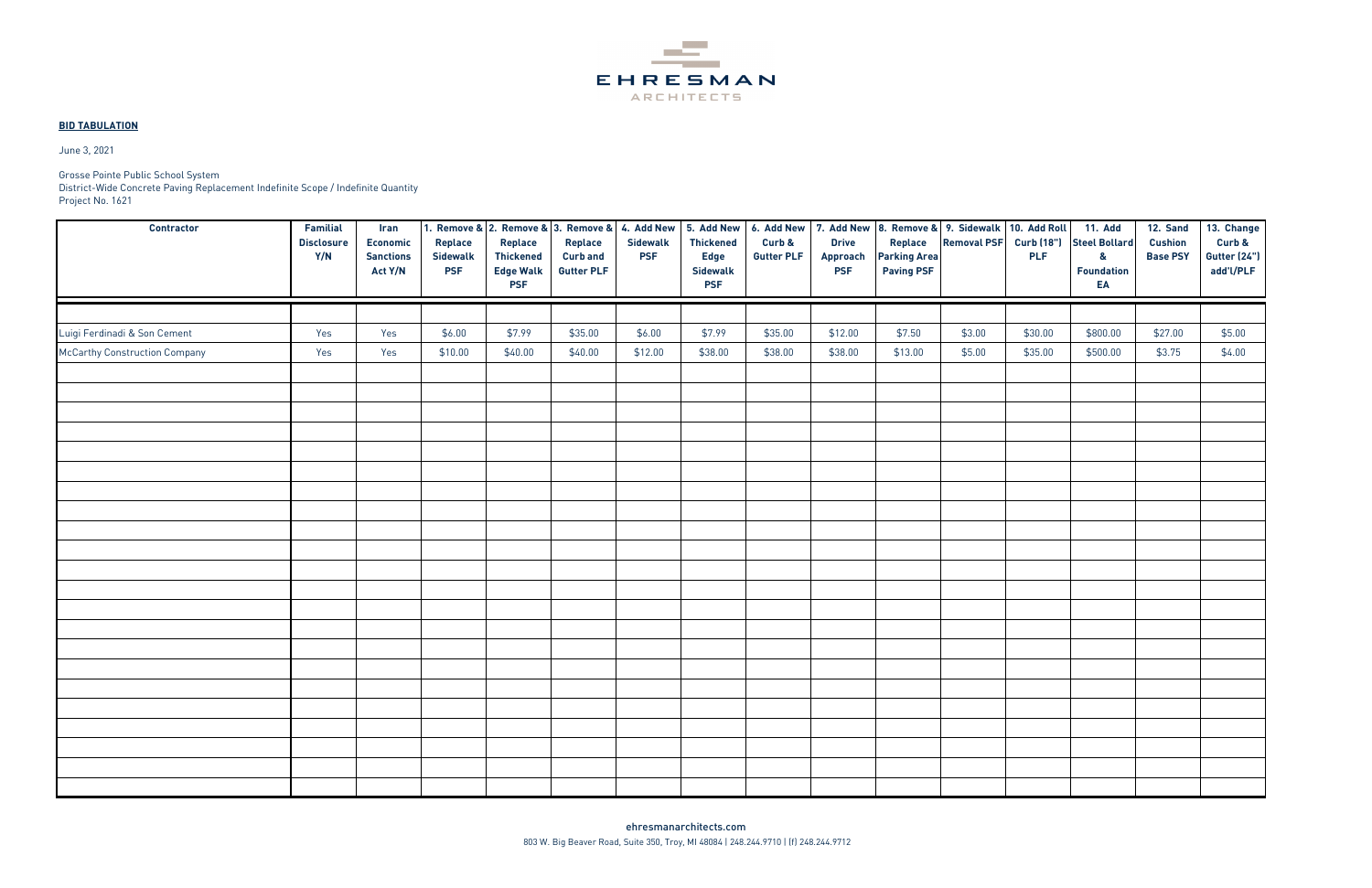

### **BID TABULATION**

| <b>Contractor</b>                    | Familial<br><b>Disclosure</b><br>Y/N | Iran<br><b>Economic</b><br><b>Sanctions</b><br>Act Y/N | Replace<br>Sidewalk<br><b>PSF</b> | 1. Remove & 2. Remove & 3. Remove & 4. Add New<br>Replace<br><b>Thickened</b><br><b>Edge Walk</b><br><b>PSF</b> | Replace<br><b>Curb and</b><br><b>Gutter PLF</b> | <b>Sidewalk</b><br><b>PSF</b> | 5. Add New<br><b>Thickened</b><br><b>Edge</b><br><b>Sidewalk</b><br><b>PSF</b> | Curb &<br><b>Gutter PLF</b> | <b>Drive</b><br>Approach<br><b>PSF</b> | Replace<br><b>Parking Area</b><br><b>Paving PSF</b> | 6. Add New   7. Add New   8. Remove &   9. Sidewalk   10. Add Roll<br><b>Removal PSF</b> | <b>PLF</b> | <b>11. Add</b><br>Curb (18") Steel Bollard<br>$\mathbf{g}$<br><b>Foundation</b><br>EA | <b>12. Sand</b><br><b>Cushion</b><br><b>Base PSY</b> | 13. Change<br>Curb &<br>Gutter (24")<br>add'l/PLF |
|--------------------------------------|--------------------------------------|--------------------------------------------------------|-----------------------------------|-----------------------------------------------------------------------------------------------------------------|-------------------------------------------------|-------------------------------|--------------------------------------------------------------------------------|-----------------------------|----------------------------------------|-----------------------------------------------------|------------------------------------------------------------------------------------------|------------|---------------------------------------------------------------------------------------|------------------------------------------------------|---------------------------------------------------|
|                                      |                                      |                                                        |                                   |                                                                                                                 |                                                 |                               |                                                                                |                             |                                        |                                                     |                                                                                          |            |                                                                                       |                                                      |                                                   |
| Luigi Ferdinadi & Son Cement         | Yes                                  | Yes                                                    | \$6.00                            | \$7.99                                                                                                          | \$35.00                                         | \$6.00                        | \$7.99                                                                         | \$35.00                     | \$12.00                                | \$7.50                                              | \$3.00                                                                                   | \$30.00    | \$800.00                                                                              | \$27.00                                              | \$5.00                                            |
| <b>McCarthy Construction Company</b> | Yes                                  | Yes                                                    | \$10.00                           | \$40.00                                                                                                         | \$40.00                                         | \$12.00                       | \$38.00                                                                        | \$38.00                     | \$38.00                                | \$13.00                                             | \$5.00                                                                                   | \$35.00    | \$500.00                                                                              | \$3.75                                               | \$4.00                                            |
|                                      |                                      |                                                        |                                   |                                                                                                                 |                                                 |                               |                                                                                |                             |                                        |                                                     |                                                                                          |            |                                                                                       |                                                      |                                                   |
|                                      |                                      |                                                        |                                   |                                                                                                                 |                                                 |                               |                                                                                |                             |                                        |                                                     |                                                                                          |            |                                                                                       |                                                      |                                                   |
|                                      |                                      |                                                        |                                   |                                                                                                                 |                                                 |                               |                                                                                |                             |                                        |                                                     |                                                                                          |            |                                                                                       |                                                      |                                                   |
|                                      |                                      |                                                        |                                   |                                                                                                                 |                                                 |                               |                                                                                |                             |                                        |                                                     |                                                                                          |            |                                                                                       |                                                      |                                                   |
|                                      |                                      |                                                        |                                   |                                                                                                                 |                                                 |                               |                                                                                |                             |                                        |                                                     |                                                                                          |            |                                                                                       |                                                      |                                                   |
|                                      |                                      |                                                        |                                   |                                                                                                                 |                                                 |                               |                                                                                |                             |                                        |                                                     |                                                                                          |            |                                                                                       |                                                      |                                                   |
|                                      |                                      |                                                        |                                   |                                                                                                                 |                                                 |                               |                                                                                |                             |                                        |                                                     |                                                                                          |            |                                                                                       |                                                      |                                                   |
|                                      |                                      |                                                        |                                   |                                                                                                                 |                                                 |                               |                                                                                |                             |                                        |                                                     |                                                                                          |            |                                                                                       |                                                      |                                                   |
|                                      |                                      |                                                        |                                   |                                                                                                                 |                                                 |                               |                                                                                |                             |                                        |                                                     |                                                                                          |            |                                                                                       |                                                      |                                                   |
|                                      |                                      |                                                        |                                   |                                                                                                                 |                                                 |                               |                                                                                |                             |                                        |                                                     |                                                                                          |            |                                                                                       |                                                      |                                                   |
|                                      |                                      |                                                        |                                   |                                                                                                                 |                                                 |                               |                                                                                |                             |                                        |                                                     |                                                                                          |            |                                                                                       |                                                      |                                                   |
|                                      |                                      |                                                        |                                   |                                                                                                                 |                                                 |                               |                                                                                |                             |                                        |                                                     |                                                                                          |            |                                                                                       |                                                      |                                                   |
|                                      |                                      |                                                        |                                   |                                                                                                                 |                                                 |                               |                                                                                |                             |                                        |                                                     |                                                                                          |            |                                                                                       |                                                      |                                                   |
|                                      |                                      |                                                        |                                   |                                                                                                                 |                                                 |                               |                                                                                |                             |                                        |                                                     |                                                                                          |            |                                                                                       |                                                      |                                                   |
|                                      |                                      |                                                        |                                   |                                                                                                                 |                                                 |                               |                                                                                |                             |                                        |                                                     |                                                                                          |            |                                                                                       |                                                      |                                                   |
|                                      |                                      |                                                        |                                   |                                                                                                                 |                                                 |                               |                                                                                |                             |                                        |                                                     |                                                                                          |            |                                                                                       |                                                      |                                                   |
|                                      |                                      |                                                        |                                   |                                                                                                                 |                                                 |                               |                                                                                |                             |                                        |                                                     |                                                                                          |            |                                                                                       |                                                      |                                                   |
|                                      |                                      |                                                        |                                   |                                                                                                                 |                                                 |                               |                                                                                |                             |                                        |                                                     |                                                                                          |            |                                                                                       |                                                      |                                                   |
|                                      |                                      |                                                        |                                   |                                                                                                                 |                                                 |                               |                                                                                |                             |                                        |                                                     |                                                                                          |            |                                                                                       |                                                      |                                                   |
|                                      |                                      |                                                        |                                   |                                                                                                                 |                                                 |                               |                                                                                |                             |                                        |                                                     |                                                                                          |            |                                                                                       |                                                      |                                                   |
|                                      |                                      |                                                        |                                   |                                                                                                                 |                                                 |                               |                                                                                |                             |                                        |                                                     |                                                                                          |            |                                                                                       |                                                      |                                                   |
|                                      |                                      |                                                        |                                   |                                                                                                                 |                                                 |                               |                                                                                |                             |                                        |                                                     |                                                                                          |            |                                                                                       |                                                      |                                                   |

Grosse Pointe Public School System

District-Wide Concrete Paving Replacement Indefinite Scope / Indefinite Quantity Project No. 1621

June 3, 2021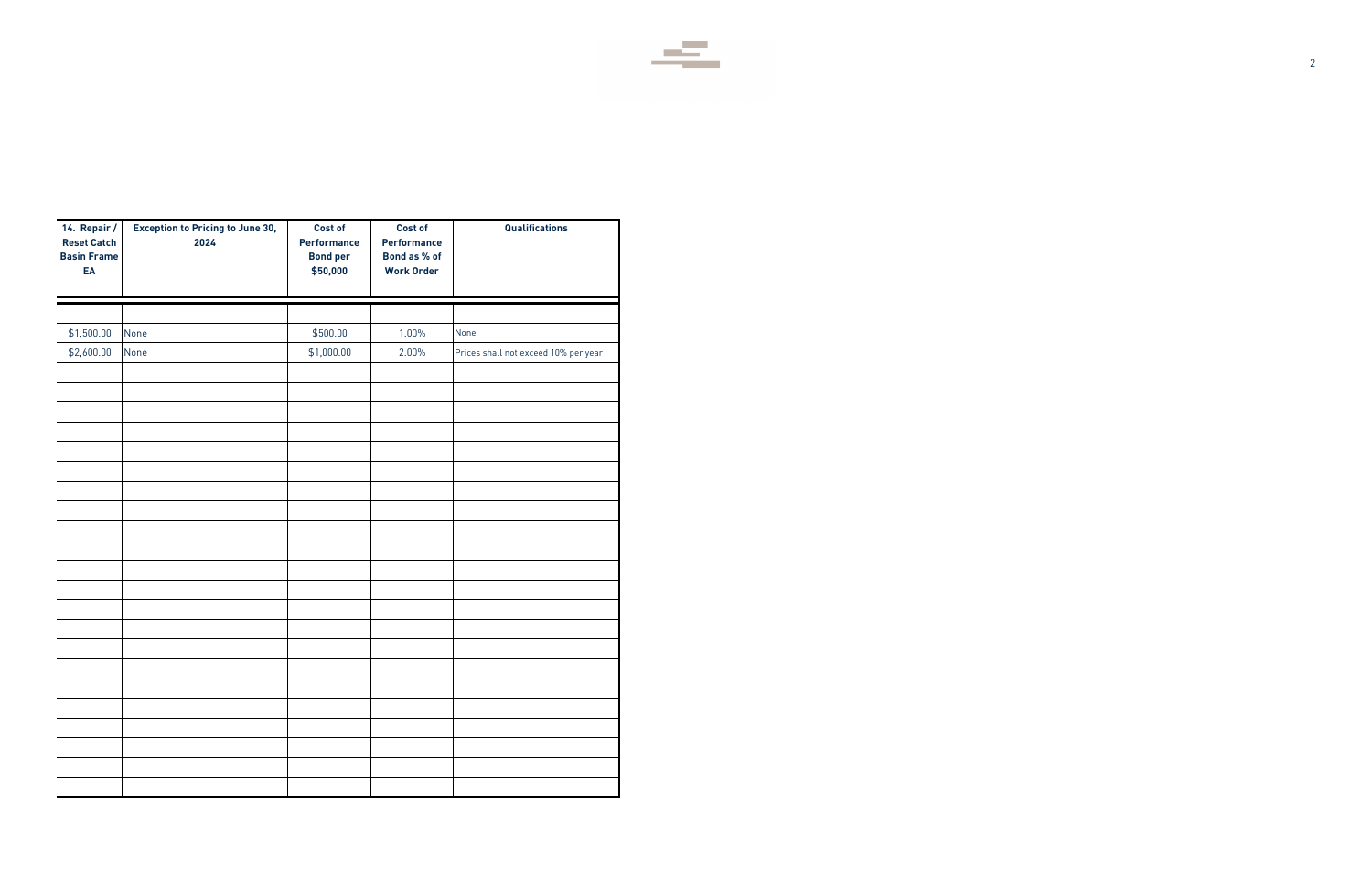2



| 14. Repair /<br><b>Reset Catch</b><br><b>Basin Frame</b><br>EA | <b>Exception to Pricing to June 30,</b><br>2024 | <b>Cost of</b><br>Performance<br><b>Bond per</b><br>\$50,000 | <b>Cost of</b><br>Performance<br>Bond as % of<br><b>Work Order</b> | Qualifications                       |
|----------------------------------------------------------------|-------------------------------------------------|--------------------------------------------------------------|--------------------------------------------------------------------|--------------------------------------|
|                                                                |                                                 |                                                              |                                                                    |                                      |
| \$1,500.00                                                     | None                                            | \$500.00                                                     | 1.00%                                                              | None                                 |
| \$2,600.00                                                     | None                                            | \$1,000.00                                                   | 2.00%                                                              | Prices shall not exceed 10% per year |
|                                                                |                                                 |                                                              |                                                                    |                                      |
|                                                                |                                                 |                                                              |                                                                    |                                      |
|                                                                |                                                 |                                                              |                                                                    |                                      |
|                                                                |                                                 |                                                              |                                                                    |                                      |
|                                                                |                                                 |                                                              |                                                                    |                                      |
|                                                                |                                                 |                                                              |                                                                    |                                      |
|                                                                |                                                 |                                                              |                                                                    |                                      |
|                                                                |                                                 |                                                              |                                                                    |                                      |
|                                                                |                                                 |                                                              |                                                                    |                                      |
|                                                                |                                                 |                                                              |                                                                    |                                      |
|                                                                |                                                 |                                                              |                                                                    |                                      |
|                                                                |                                                 |                                                              |                                                                    |                                      |
|                                                                |                                                 |                                                              |                                                                    |                                      |
|                                                                |                                                 |                                                              |                                                                    |                                      |
|                                                                |                                                 |                                                              |                                                                    |                                      |
|                                                                |                                                 |                                                              |                                                                    |                                      |
|                                                                |                                                 |                                                              |                                                                    |                                      |
|                                                                |                                                 |                                                              |                                                                    |                                      |
|                                                                |                                                 |                                                              |                                                                    |                                      |
|                                                                |                                                 |                                                              |                                                                    |                                      |
|                                                                |                                                 |                                                              |                                                                    |                                      |
|                                                                |                                                 |                                                              |                                                                    |                                      |